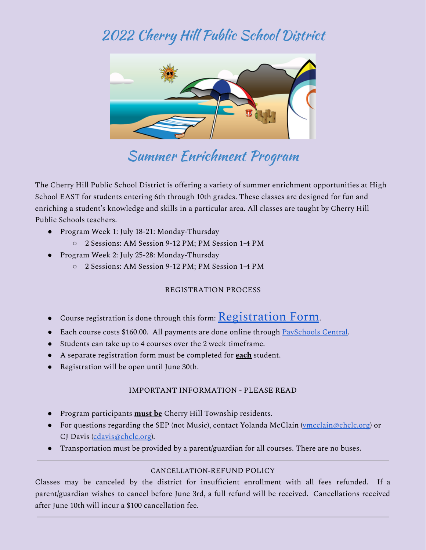# 2022 Cherry Hill Public School District



# Summer Enrichment Program

 The Cherry Hill Public School District is offering a variety of summer enrichment opportunities at High School EAST for students entering 6th through 10th grades. These classes are designed for fun and enriching a student's knowledge and skills in a particular area. All classes are taught by Cherry Hill Public Schools teachers.

- ● Program Week 1: July 18-21: Monday-Thursday
	- 2 Sessions: AM Session 9-12 PM; PM Session 1-4 PM
- ● Program Week 2: July 25-28: Monday-Thursday
	- 2 Sessions: AM Session 9-12 PM; PM Session 1-4 PM

### REGISTRATION PROCESS

- $\bullet$  Course registration is done through this form:  $\operatorname{Registration}$  $\operatorname{Registration}$  $\operatorname{Registration}$   $\operatorname{Form}.$
- Each course costs \$160.00. All payments are done online through [PaySchools](https://payschoolscentral.com/) Central.
- Students can take up to 4 courses over the 2 week timeframe.
- A separate registration form must be completed for **each** student.
- Registration will be open until June 30th.

### IMPORTANT INFORMATION - PLEASE READ

- Program participants **must be** Cherry Hill Township residents.
- ● For questions regarding the SEP (not Music), contact Yolanda McClain [\(vmcclain@chclc.org](mailto:vmcclain@chclc.org)) or CJ Davis (<u>cdavis@chclc.org</u>).
- Transportation must be provided by a parent/guardian for all courses. There are no buses.

### CANCELLATION-REFUND POLICY

after June 10th will incur a \$100 cancellation fee. Classes may be canceled by the district for insufficient enrollment with all fees refunded. If a parent/guardian wishes to cancel before June 3rd, a full refund will be received. Cancellations received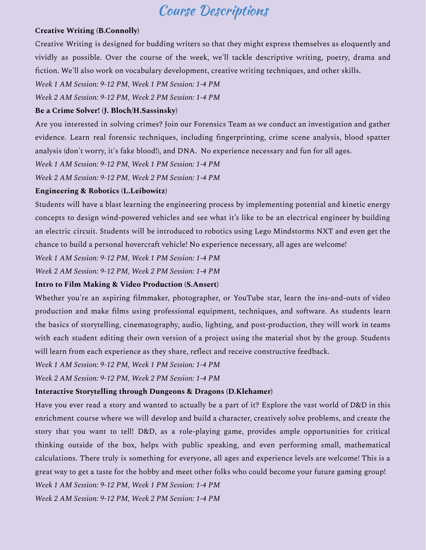### Course Descriptions

#### **Creative Writing (B.Connolly)**

 fiction. We'll also work on vocabulary development, creative writing techniques, and other skills. Creative Writing is designed for budding writers so that they might express themselves as eloquently and vividly as possible. Over the course of the week, we'll tackle descriptive writing, poetry, drama and

 *Week 1 AM Session: 9-12 PM, Week 1 PM Session: 1-4 PM*

*Week 2 AM Session: 9-12 PM, Week 2 PM Session: 1-4 PM*

#### **Be a Crime Solver! (J. Bloch/H.Sassinsky)**

 analysis (don't worry, it's fake blood!), and DNA. No experience necessary and fun for all ages. Are you interested in solving crimes? Join our Forensics Team as we conduct an investigation and gather evidence. Learn real forensic techniques, including fingerprinting, crime scene analysis, blood spatter

 *Week 1 AM Session: 9-12 PM, Week 1 PM Session: 1-4 PM*

*Week 2 AM Session: 9-12 PM, Week 2 PM Session: 1-4 PM*

#### **Engineering & Robotics (L.Leibowitz)**

chance to build a personal hovercraft vehicle! No experience necessary, all ages are welcome! Students will have a blast learning the engineering process by implementing potential and kinetic energy concepts to design wind-powered vehicles and see what it's like to be an electrical engineer by building an electric circuit. Students will be introduced to robotics using Lego Mindstorms NXT and even get the

 *Week 1 AM Session: 9-12 PM, Week 1 PM Session: 1-4 PM*

*Week 2 AM Session: 9-12 PM, Week 2 PM Session: 1-4 PM*

#### **Intro to Film Making & Video Production (S.Ansert)**

 will learn from each experience as they share, reflect and receive constructive feedback. Whether you're an aspiring filmmaker, photographer, or YouTube star, learn the ins-and-outs of video production and make films using professional equipment, techniques, and software. As students learn the basics of storytelling, cinematography, audio, lighting, and post-production, they will work in teams with each student editing their own version of a project using the material shot by the group. Students

 *Week 1 AM Session: 9-12 PM, Week 1 PM Session: 1-4 PM*

*Week 2 AM Session: 9-12 PM, Week 2 PM Session: 1-4 PM*

#### **Interactive Storytelling through Dungeons & Dragons (D.Klehamer)**

 great way to get a taste for the hobby and meet other folks who could become your future gaming group! Have you ever read a story and wanted to actually be a part of it? Explore the vast world of D&D in this enrichment course where we will develop and build a character, creatively solve problems, and create the story that you want to tell! D&D, as a role-playing game, provides ample opportunities for critical thinking outside of the box, helps with public speaking, and even performing small, mathematical calculations. There truly is something for everyone, all ages and experience levels are welcome! This is a

 *Week 1 AM Session: 9-12 PM, Week 1 PM Session: 1-4 PM*

*Week 2 AM Session: 9-12 PM, Week 2 PM Session: 1-4 PM*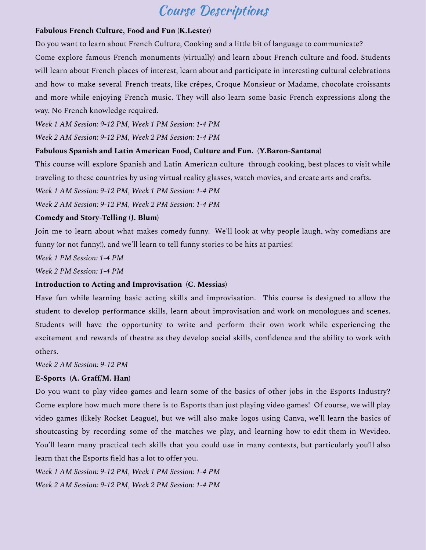# Course Descriptions

#### **Fabulous French Culture, Food and Fun (K.Lester)**

Do you want to learn about French Culture, Cooking and a little bit of language to communicate?

 way. No French knowledge required. Come explore famous French monuments (virtually) and learn about French culture and food. Students will learn about French places of interest, learn about and participate in interesting cultural celebrations and how to make several French treats, like crêpes, Croque Monsieur or Madame, chocolate croissants and more while enjoying French music. They will also learn some basic French expressions along the

 *Week 1 AM Session: 9-12 PM, Week 1 PM Session: 1-4 PM*

*Week 2 AM Session: 9-12 PM, Week 2 PM Session: 1-4 PM*

#### **Fabulous Spanish and Latin American Food, Culture and Fun. (Y.Baron-Santana)**

traveling to these countries by using virtual reality glasses, watch movies, and create arts and crafts. This course will explore Spanish and Latin American culture through cooking, best places to visit while

 *Week 1 AM Session: 9-12 PM, Week 1 PM Session: 1-4 PM*

*Week 2 AM Session: 9-12 PM, Week 2 PM Session: 1-4 PM*

#### **Comedy and Story-Telling (J. Blum)**

 funny (or not funny!), and we'll learn to tell funny stories to be hits at parties! Join me to learn about what makes comedy funny. We'll look at why people laugh, why comedians are

 *Week 1 PM Session: 1-4 PM*

 *Week 2 PM Session: 1-4 PM*

#### **Introduction to Acting and Improvisation (C. Messias)**

Have fun while learning basic acting skills and improvisation. This course is designed to allow the student to develop performance skills, learn about improvisation and work on monologues and scenes. Students will have the opportunity to write and perform their own work while experiencing the excitement and rewards of theatre as they develop social skills, confidence and the ability to work with others.

 *Week 2 AM Session: 9-12 PM*

#### **E-Sports (A. Graff/M. Han)**

 learn that the Esports field has a lot to offer you. Do you want to play video games and learn some of the basics of other jobs in the Esports Industry? Come explore how much more there is to Esports than just playing video games! Of course, we will play video games (likely Rocket League), but we will also make logos using Canva, we'll learn the basics of shoutcasting by recording some of the matches we play, and learning how to edit them in Wevideo. You'll learn many practical tech skills that you could use in many contexts, but particularly you'll also

 *Week 1 AM Session: 9-12 PM, Week 1 PM Session: 1-4 PM Week 2 AM Session: 9-12 PM, Week 2 PM Session: 1-4 PM*